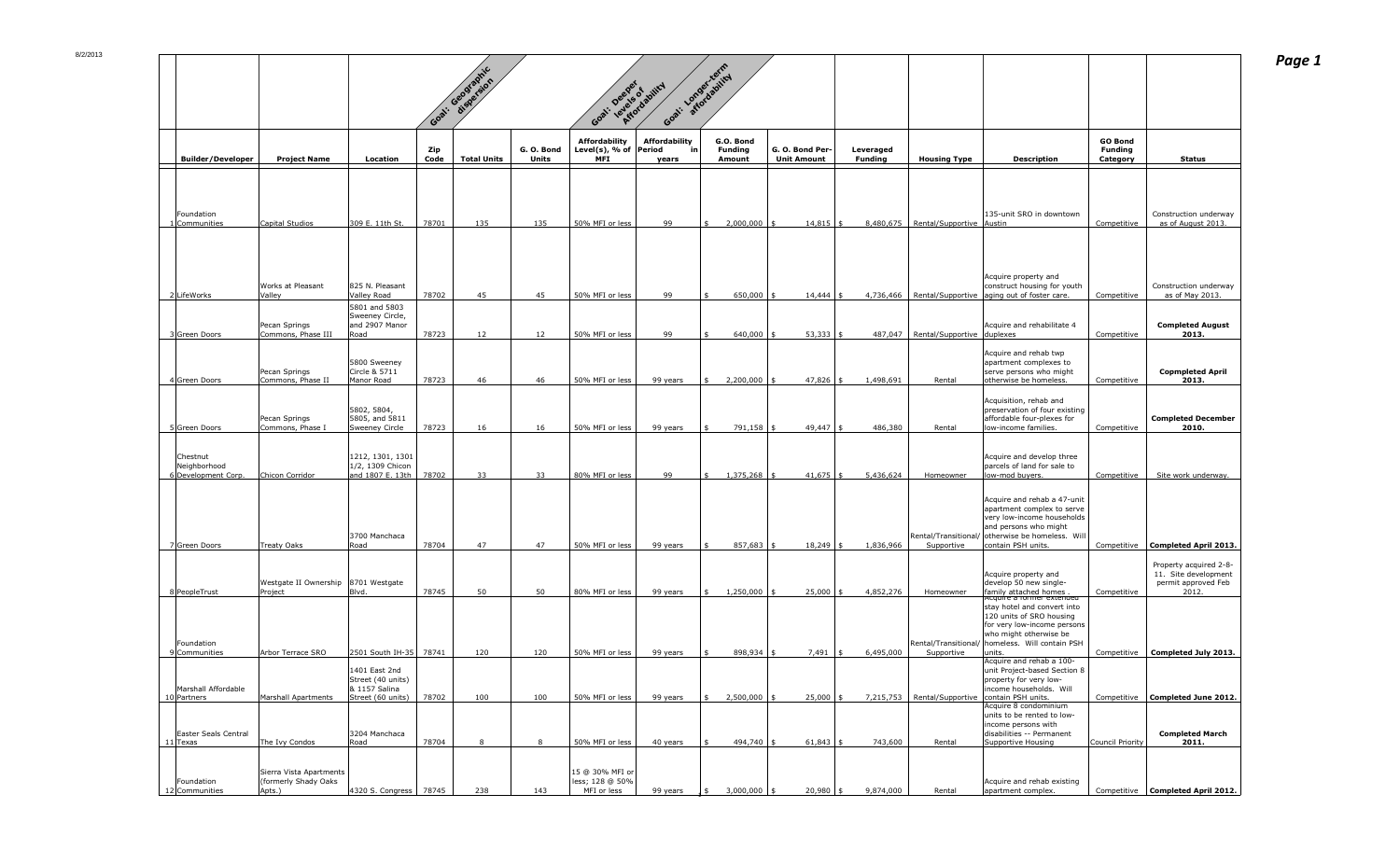|                                         |                                                 |                                                        | Goal.                     | 1: Geographic      |                            | Goal: Deeper of ability                                 |                                            | Goal: Longer-reinicy                         |                                               |                             |                                      |                                                                                                                     |                                                     |                                                                                |
|-----------------------------------------|-------------------------------------------------|--------------------------------------------------------|---------------------------|--------------------|----------------------------|---------------------------------------------------------|--------------------------------------------|----------------------------------------------|-----------------------------------------------|-----------------------------|--------------------------------------|---------------------------------------------------------------------------------------------------------------------|-----------------------------------------------------|--------------------------------------------------------------------------------|
| <b>Builder/Developer</b>                | <b>Project Name</b>                             | <b>Location</b>                                        | <b>Zip</b><br><b>Code</b> | <b>Total Units</b> | G. O. Bond<br><b>Units</b> | <b>Affordability</b><br>Level(s), % of $ Period$<br>MFI | <b>Affordability</b><br><u>in</u><br>years | G.O. Bond<br><b>Funding</b><br><b>Amount</b> | G. O. Bond Per- $\vert$<br><b>Unit Amount</b> | Leveraged<br><b>Funding</b> | <b>Housing Type</b>                  | <b>Description</b>                                                                                                  | <b>GO Bond</b><br><b>Funding</b><br><b>Category</b> | <b>Status</b>                                                                  |
|                                         |                                                 |                                                        |                           |                    |                            |                                                         |                                            |                                              |                                               |                             |                                      |                                                                                                                     |                                                     |                                                                                |
| Foundation<br>1 Communities             | Capital Studios                                 | 309 E. 11th St.                                        | 78701                     | 135                | 135                        | 50% MFI or less                                         | 99                                         | 2,000,000                                    | $14,815$ \$                                   |                             | 8,480,675   Rental/Supportive Austin | 135-unit SRO in downtown                                                                                            | Competitive                                         | Construction underway<br>as of August 2013.                                    |
|                                         |                                                 |                                                        |                           |                    |                            |                                                         |                                            |                                              |                                               |                             |                                      |                                                                                                                     |                                                     |                                                                                |
| 2LifeWorks                              | <b>Works at Pleasant</b><br>Valley              | 825 N. Pleasant<br>Valley Road                         | 78702                     | 45                 | 45                         | 50% MFI or less                                         | 99                                         | 650,000                                      | 14,444                                        |                             |                                      | Acquire property and<br>construct housing for youth<br>4,736,466   Rental/Supportive   aging out of foster care.    | Competitive                                         | Construction underway<br>as of May 2013.                                       |
|                                         |                                                 | 5801 and 5803<br>Sweeney Circle,                       |                           |                    |                            |                                                         |                                            |                                              |                                               |                             |                                      |                                                                                                                     |                                                     |                                                                                |
| 3 Green Doors                           | Pecan Springs<br>Commons, Phase III             | and 2907 Manor<br>Road                                 | 78723                     | 12 <sup>2</sup>    | 12 <sup>7</sup>            | 50% MFI or less                                         | 99                                         | 640,000                                      | $53,333$ \$                                   |                             | 487,047   Rental/Supportive duplexes | Acquire and rehabilitate 4                                                                                          | Competitive                                         | <b>Completed August</b><br>2013.                                               |
| 4 Green Doors                           | Pecan Springs<br>Commons, Phase II              | 5800 Sweeney<br>Circle & 5711<br>Manor Road            | 78723                     | 46                 | 46                         | 50% MFI or less                                         | 99 years                                   | 2,200,000                                    | 47,826                                        | 1,498,691                   | Rental                               | Acquire and rehab twp<br>apartment complexes to<br>serve persons who might<br>otherwise be homeless.                | Competitive                                         | <b>Copmpleted April</b><br>2013.                                               |
|                                         |                                                 |                                                        |                           |                    |                            |                                                         |                                            |                                              |                                               |                             |                                      | Acquisition, rehab and                                                                                              |                                                     |                                                                                |
| 5Green Doors                            | Pecan Springs<br>Commons, Phase I               | 5802, 5804,<br>5805, and 5811<br><b>Sweeney Circle</b> | 78723                     | 16                 | 16                         | 50% MFI or less                                         | 99 years                                   | 791,158                                      | 49,447                                        | 486,380                     | Rental                               | preservation of four existing<br>affordable four-plexes for<br>low-income families.                                 | Competitive                                         | <b>Completed December</b><br>2010.                                             |
| Chestnut                                |                                                 | 1212, 1301, 1301                                       |                           |                    |                            |                                                         |                                            |                                              |                                               |                             |                                      | Acquire and develop three                                                                                           |                                                     |                                                                                |
| Neighborhood<br>6 Development Corp.     | Chicon Corridor                                 | 1/2, 1309 Chicon<br>and 1807 E. 13th                   | 78702                     | 33                 | 33                         | 80% MFI or less                                         | 99                                         | 1,375,268                                    | $41,675$ \$                                   | 5,436,624                   | Homeowner                            | parcels of land for sale to<br>low-mod buyers.                                                                      | Competitive                                         | Site work underway.                                                            |
|                                         |                                                 |                                                        |                           |                    |                            |                                                         |                                            |                                              |                                               |                             |                                      | Acquire and rehab a 47-unit<br>apartment complex to serve<br>very low-income households<br>and persons who might    |                                                     |                                                                                |
| 7Green Doors                            | Treaty Oaks                                     | 3700 Manchaca<br>Road                                  | 78704                     | 47                 | 47                         | 50% MFI or less                                         | 99 years                                   | 857,683                                      | 18,249                                        | 1,836,966                   | Rental/Transitional/<br>Supportive   | otherwise be homeless. Will<br>contain PSH units.                                                                   |                                                     | Competitive   Completed April 2013.                                            |
| 8 PeopleTrust                           | Westgate II Ownership  8701 Westgate<br>Project | Blvd.                                                  | 78745                     | 50                 | 50                         | 80% MFI or less                                         | 99 years                                   | 1,250,000                                    | $25,000$ \$                                   | 4,852,276                   | Homeowner                            | Acquire property and<br>develop 50 new single-<br>family attached homes                                             | Competitive                                         | Property acquired 2-8-<br>11. Site development<br>permit approved Feb<br>2012. |
|                                         |                                                 |                                                        |                           |                    |                            |                                                         |                                            |                                              |                                               |                             |                                      | Acquire a former extended<br>stay hotel and convert into<br>120 units of SRO housing<br>for very low-income persons |                                                     |                                                                                |
| Foundation<br>9 Communities             | Arbor Terrace SRO                               | 2501 South IH-35 78741                                 |                           | 120                | 120                        | 50% MFI or less                                         | 99 years                                   | 898,934                                      | $7,491$ \$                                    | 6,495,000                   | Rental/Transitional/<br>Supportive   | who might otherwise be<br>homeless. Will contain PSH<br>units.                                                      | Competitive                                         | <b>Completed July 2013.</b>                                                    |
|                                         |                                                 | 1401 East 2nd<br>Street (40 units)                     |                           |                    |                            |                                                         |                                            |                                              |                                               |                             |                                      | Acquire and rehab a 100-<br>unit Project-based Section 8<br>property for very low-                                  |                                                     |                                                                                |
| Marshall Affordable<br>10 Partners      | Marshall Apartments                             | 8 1157 Salina<br>Street (60 units)                     | 78702                     | 100                | 100                        | 50% MFI or less                                         | 99 years                                   | 2,500,000                                    | 25,000                                        |                             | 7,215,753   Rental/Supportive        | income households. Will<br>contain PSH units.<br>Acquire 8 condominium                                              | Competitive                                         | Completed June 2012.                                                           |
| <b>Easter Seals Central</b><br>11 Texas | The Ivy Condos                                  | 3204 Manchaca<br>Road                                  | 78704                     |                    |                            | 50% MFI or less                                         | 40 years                                   | 494,740 \$                                   | $61,843$ \$                                   | 743,600                     | Rental                               | units to be rented to low-<br>income persons with<br>disabilities -- Permanent<br>Supportive Housing                | Council Priority                                    | <b>Completed March</b><br>2011.                                                |
|                                         | Sierra Vista Apartments                         |                                                        |                           |                    |                            | 15 @ 30% MFI or                                         |                                            |                                              |                                               |                             |                                      |                                                                                                                     |                                                     |                                                                                |
| Foundation<br>12 Communities            | (formerly Shady Oaks<br>Apts.)                  | 4320 S. Congress   78745                               |                           | 238                | 143                        | less; 128 @ 50%<br>MFI or less                          | 99 years                                   | $3,000,000$ \$                               | $20,980$ \$                                   | 9,874,000                   | Rental                               | Acquire and rehab existing<br>apartment complex.                                                                    |                                                     | Competitive   Completed April 2012.                                            |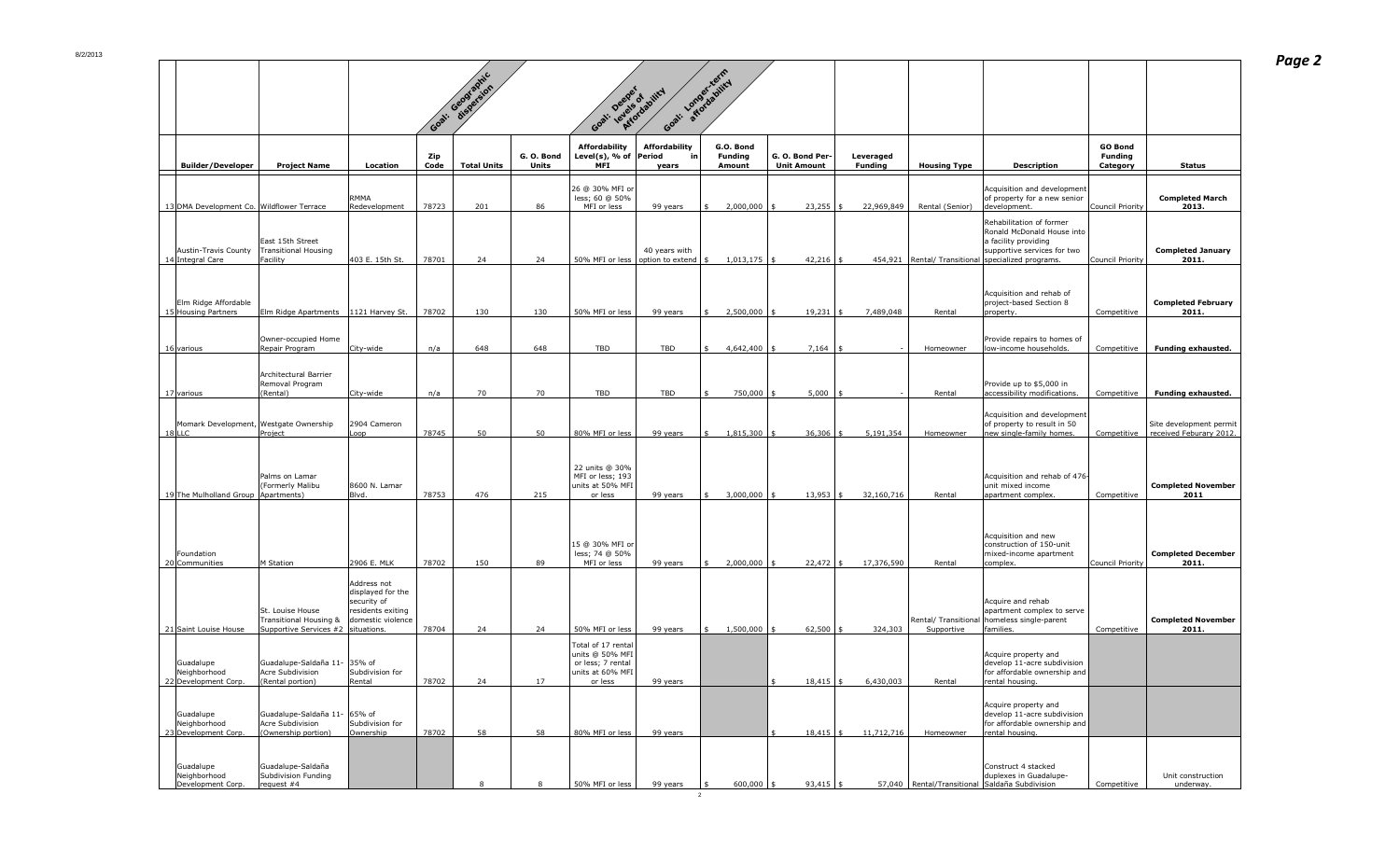|                                                    |                                                                                               |                                                                                           | Goal:                     | 1: Geographic      |                            | Goal: Deeper of Joint<br>Goal.                                                            |                                                     | Goal: Longerizering                          |                                               |                             |                     |                                                                                                                                                                         |                                                     |                                                    |
|----------------------------------------------------|-----------------------------------------------------------------------------------------------|-------------------------------------------------------------------------------------------|---------------------------|--------------------|----------------------------|-------------------------------------------------------------------------------------------|-----------------------------------------------------|----------------------------------------------|-----------------------------------------------|-----------------------------|---------------------|-------------------------------------------------------------------------------------------------------------------------------------------------------------------------|-----------------------------------------------------|----------------------------------------------------|
| <b>Builder/Developer</b>                           | <b>Project Name</b>                                                                           | Location                                                                                  | <b>Zip</b><br><b>Code</b> | <b>Total Units</b> | G. O. Bond<br><b>Units</b> | <b>Affordability</b><br>Level(s), % of $ Period$<br><b>MFI</b>                            | <b>Affordability</b><br>_in l<br>years              | G.O. Bond<br><b>Funding</b><br><b>Amount</b> | G. O. Bond Per- $\vert$<br><b>Unit Amount</b> | Leveraged<br><b>Funding</b> | <b>Housing Type</b> | <b>Description</b>                                                                                                                                                      | <b>GO Bond</b><br><b>Funding</b><br><b>Category</b> | <b>Status</b>                                      |
| 13 DMA Development Co. Wildflower Terrace          |                                                                                               | <b>RMMA</b><br>Redevelopment                                                              | 78723                     | 201                | 86                         | 26 @ 30% MFI or<br>less; 60 @ 50%<br>MFI or less                                          | 99 years                                            | 2,000,000                                    | $23,255$ :                                    | 22,969,849                  | Rental (Senior)     | Acquisition and development<br>of property for a new senior<br>development.                                                                                             | Council Priority                                    | <b>Completed March</b><br>2013.                    |
| Austin-Travis County<br>14 Integral Care           | East 15th Street<br><b>Transitional Housing</b><br>Facility                                   | 403 E. 15th St.                                                                           | 78701                     | 24                 | 24                         |                                                                                           | 40 years with<br>50% MFI or less   option to extend | $1,013,175$ s                                | $42,216$ \$                                   |                             |                     | Rehabilitation of former<br>Ronald McDonald House into<br>a facility providing<br>supportive services for two<br>454,921   Rental/ Transitional   specialized programs. | Council Priority                                    | <b>Completed January</b><br>2011.                  |
| Elm Ridge Affordable<br>15 Housing Partners        | Elm Ridge Apartments   1121 Harvey St.                                                        |                                                                                           | 78702                     | 130                | 130                        | $\vert$ 50% MFI or less $\vert$                                                           | 99 years                                            | $2,500,000$ \$                               | $19,231$ \$                                   | 7,489,048                   | Rental              | Acquisition and rehab of<br>project-based Section 8<br>property.                                                                                                        | Competitive                                         | <b>Completed February</b><br>2011.                 |
| 16 various                                         | Owner-occupied Home<br>Repair Program                                                         | City-wide                                                                                 | n/a                       | 648                | 648                        | TBD                                                                                       | TBD                                                 | 4,642,400                                    | $7,164$ \$                                    |                             | Homeowner           | Provide repairs to homes of<br>low-income households.                                                                                                                   | Competitive                                         | <b>Funding exhausted.</b>                          |
| 17 various                                         | Architectural Barrier<br>Removal Program<br>(Rental)                                          | City-wide                                                                                 | n/a                       | 70                 | 70                         | TBD                                                                                       | <b>TBD</b>                                          | 750,000                                      | $5,000$   \$                                  | $\sim$ $-$                  | Rental              | Provide up to \$5,000 in<br>accessibility modifications.                                                                                                                | Competitive                                         | <b>Funding exhausted.</b>                          |
| Momark Development, Westgate Ownership<br>$18$ LLC | Project                                                                                       | 2904 Cameron<br>Loop                                                                      | 78745                     | 50                 | 50                         | 80% MFI or less                                                                           | 99 years                                            | 1,815,300                                    | 36,306                                        | 5,191,354                   | Homeowner           | Acquisition and development<br>of property to result in 50<br>new single-family homes.                                                                                  | Competitive                                         | Site development permit<br>received Feburary 2012. |
| 19 The Mulholland Group   Apartments)              | Palms on Lamar<br>(Formerly Malibu                                                            | 8600 N. Lamar<br>Blvd.                                                                    | 78753                     | 476                | 215                        | 22 units @ 30%<br>MFI or less; 193<br>units at 50% MFI<br>or less                         | 99 years                                            | 3,000,000                                    | $13,953$ \$                                   | 32,160,716                  | Rental              | Acquisition and rehab of 476<br>unit mixed income<br>apartment complex.                                                                                                 | Competitive                                         | <b>Completed November</b><br>2011                  |
| Foundation<br>20 Communities                       | M Station                                                                                     | 2906 E. MLK                                                                               | 78702                     | 150                | 89                         | 15 @ 30% MFI or<br>less; 74 @ 50%<br>MFI or less                                          | 99 years                                            | 2,000,000                                    | $22,472$ \$                                   | 17,376,590                  | Rental              | Acquisition and new<br>construction of 150-unit<br>mixed-income apartment<br>complex.                                                                                   | Council Priority                                    | <b>Completed December</b><br>2011.                 |
| 21 Saint Louise House                              | St. Louise House<br><b>Transitional Housing &amp;</b><br>Supportive Services $#2$ situations. | Address not<br>displayed for the<br>security of<br>residents exiting<br>domestic violence | 78704                     | 24                 | 24                         | 50% MFI or less                                                                           | 99 years                                            | 1,500,000                                    | 62,500                                        | 324,303                     | Supportive          | Acquire and rehab<br>apartment complex to serve<br>Rental/ Transitional   homeless single-parent<br>families.                                                           | Competitive                                         | <b>Completed November</b><br>2011.                 |
| Guadalupe<br>Neighborhood<br>22 Development Corp.  | Guadalupe-Saldaña 11- 35% of<br>Acre Subdivision<br>(Rental portion)                          | Subdivision for<br>Rental                                                                 | 78702                     | 24                 | 17                         | Total of 17 rental<br>units @ 50% MFI<br>or less; 7 rental<br>units at 60% MFI<br>or less | 99 years                                            |                                              | $18,415$ \$                                   | 6,430,003                   | Rental              | Acquire property and<br>$develop$ 11-acre subdivision<br>  for affordable ownership and<br>rental housing.                                                              |                                                     |                                                    |
| Guadalupe<br>Neighborhood<br>23 Development Corp.  | Guadalupe-Saldaña 11- 65% of<br>Acre Subdivision<br>(Ownership portion)                       | Subdivision for<br>Ownership                                                              | 78702                     | 58                 | 58                         | 80% MFI or less                                                                           | 99 years                                            |                                              | $18,415$ \$                                   | 11,712,716                  | Homeowner           | Acquire property and<br>develop 11-acre subdivision<br>for affordable ownership and<br>rental housing.                                                                  |                                                     |                                                    |
| Guadalupe<br>Neighborhood<br>Development Corp.     | Guadalupe-Saldaña<br>Subdivision Funding<br>request $#4$                                      |                                                                                           |                           |                    |                            | 50% MFI or less                                                                           | 99 years                                            | $600,000$   :                                | $93,415$ \$                                   |                             |                     | Construct 4 stacked<br>duplexes in Guadalupe-<br>57,040   Rental/Transitional Saldaña Subdivision                                                                       | Competitive                                         | Unit construction<br>underway.                     |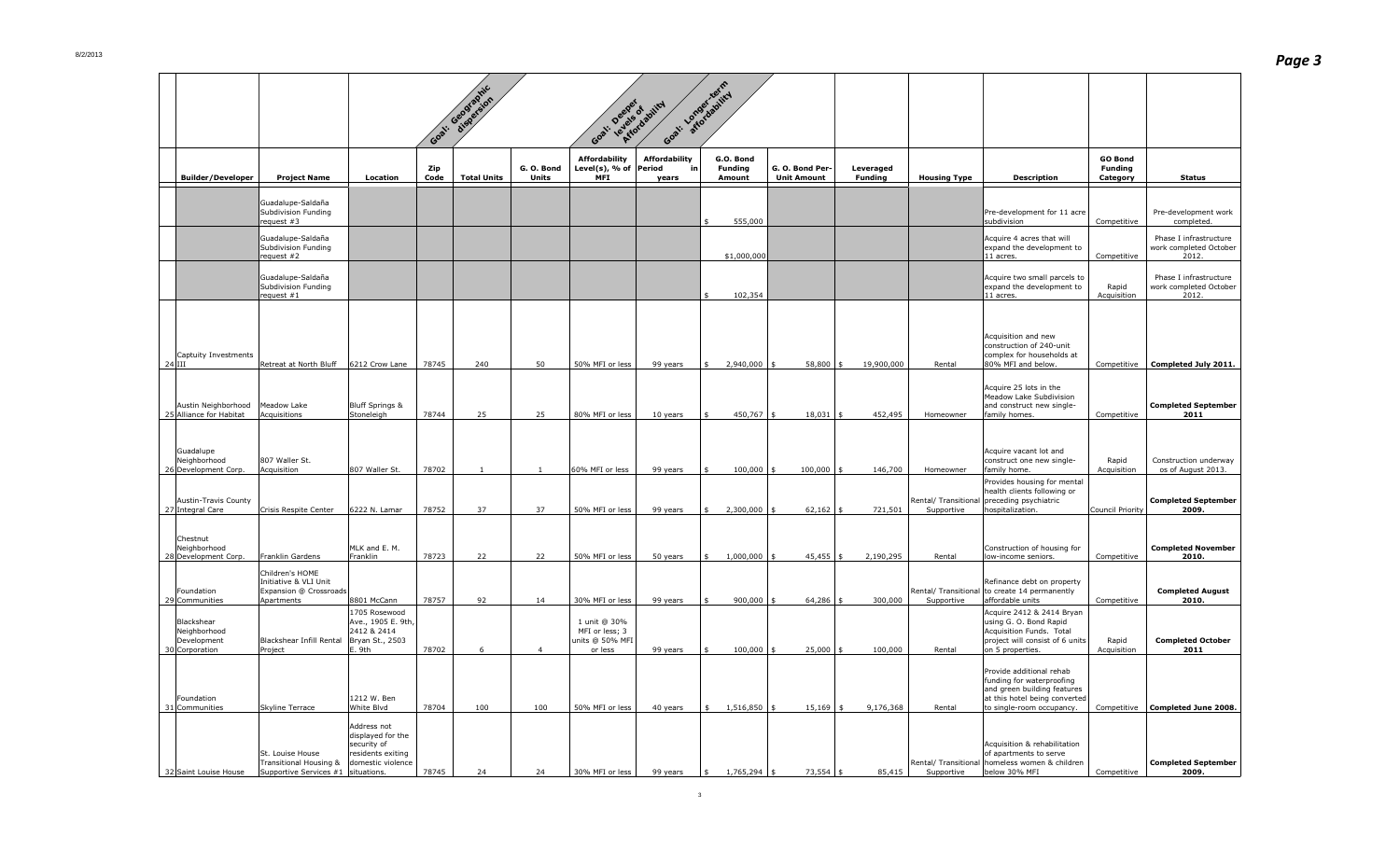|                                                                                    |                                                                                    |                                                                                           | Goal.                     | J: Geographic      |                          | Goal: Deeper of agility                                        |                                            | at: Longorizative                            |                                               |                             |                     |                                                                                                                                                                                                       |                                              |                                                                         |
|------------------------------------------------------------------------------------|------------------------------------------------------------------------------------|-------------------------------------------------------------------------------------------|---------------------------|--------------------|--------------------------|----------------------------------------------------------------|--------------------------------------------|----------------------------------------------|-----------------------------------------------|-----------------------------|---------------------|-------------------------------------------------------------------------------------------------------------------------------------------------------------------------------------------------------|----------------------------------------------|-------------------------------------------------------------------------|
| <b>Builder/Developer</b>                                                           | <b>Project Name</b>                                                                | <b>Location</b>                                                                           | <b>Zip</b><br><b>Code</b> | <b>Total Units</b> | G.O.Bond<br><b>Units</b> | <b>Affordability</b><br>Level(s), $\%$ of Period<br><b>MFI</b> | <b>Affordability</b><br><u>in</u><br>years | G.O. Bond<br><b>Funding</b><br><b>Amount</b> | G. O. Bond Per- $\vert$<br><b>Unit Amount</b> | Leveraged<br><b>Funding</b> | <b>Housing Type</b> | <b>Description</b>                                                                                                                                                                                    | <b>GO Bond</b><br><b>Funding</b><br>Category | <b>Status</b>                                                           |
|                                                                                    | Guadalupe-Saldaña<br>Subdivision Funding                                           |                                                                                           |                           |                    |                          |                                                                |                                            |                                              |                                               |                             |                     | Pre-development for 11 acre                                                                                                                                                                           |                                              | Pre-development work                                                    |
|                                                                                    | request #3<br>Guadalupe-Saldaña<br>Subdivision Funding<br>$\vert$ request #2       |                                                                                           |                           |                    |                          |                                                                |                                            | 555,000<br>\$1,000,000                       |                                               |                             |                     | subdivision<br>Acquire 4 acres that will<br>expand the development to<br>$ 11$ acres.                                                                                                                 | Competitive<br>Competitive                   | completed.<br>Phase I infrastructure<br>work completed October<br>2012. |
|                                                                                    | Guadalupe-Saldaña<br>Subdivision Funding<br>$\vert$ request #1                     |                                                                                           |                           |                    |                          |                                                                |                                            | 102,354                                      |                                               |                             |                     | Acquire two small parcels to<br>expand the development to<br>$ 11$ acres.                                                                                                                             | Rapid<br>Acquisition                         | Phase I infrastructure<br>work completed October<br>2012.               |
| Captuity Investments<br>$24$ III<br>Austin Neighborhood<br>25 Alliance for Habitat | Retreat at North Bluff<br>Meadow Lake<br>Acquisitions                              | 6212 Crow Lane<br><b>Bluff Springs &amp;</b><br>Stoneleigh                                | 78745<br>78744            | 240<br>25          | 50<br>25                 | 50% MFI or less<br>80% MFI or less                             | 99 years<br>10 years                       | 2,940,000<br>450,767                         | 58,800<br>$18,031$ \$                         | 19,900,000<br>452,495       | Rental<br>Homeowner | Acquisition and new<br>construction of 240-unit<br>complex for households at<br>80% MFI and below.<br>Acquire 25 lots in the<br>Meadow Lake Subdivision<br>and construct new single-<br>family homes. | Competitive<br>Competitive                   | <b>Completed July 2011.</b><br><b>Completed September</b><br>2011       |
| Guadalupe<br>Neighborhood<br>26 Development Corp.                                  | 807 Waller St.<br>Acquisition                                                      | 807 Waller St.                                                                            | 78702                     |                    |                          | 60% MFI or less                                                | 99 years                                   | 100,000                                      | $100,000$ \$                                  | 146,700                     | Homeowner           | Acquire vacant lot and<br>construct one new single-<br>family home.<br>Provides housing for mental                                                                                                    | Rapid<br>Acquisition                         | Construction underway<br>os of August 2013.                             |
| Austin-Travis County<br>27 Integral Care                                           | Crisis Respite Center                                                              | 6222 N. Lamar                                                                             | 78752                     | 37                 | 37                       | 50% MFI or less                                                | 99 years                                   | 2,300,000                                    | $62,162$ \$                                   | 721,501                     | Supportive          | health clients following or<br>Rental/ Transitional preceding psychiatric<br>hospitalization.                                                                                                         | Council Priority                             | <b>Completed September</b><br>2009.                                     |
| Chestnut<br>Neighborhood<br>28 Development Corp.                                   | Franklin Gardens                                                                   | MLK and E. M.<br>Franklin                                                                 | 78723                     | 22                 | 22                       | 50% MFI or less                                                | 50 years                                   | 1,000,000                                    | $45,455$ \$                                   | 2,190,295                   | Rental              | Construction of housing for<br>low-income seniors.                                                                                                                                                    | Competitive                                  | <b>Completed November</b><br>2010.                                      |
| Foundation<br>29 Communities                                                       | Children's HOME<br>Initiative & VLI Unit<br>Expansion @ Crossroads<br>Apartments   | 8801 McCann                                                                               | 78757                     | 92                 | 14                       | 30% MFI or less                                                | 99 years                                   | $900,000$ s                                  | $64,286$ \$                                   | 300,000                     | Supportive          | Refinance debt on property<br>Rental/Transitional to create 14 permanently<br>affordable units                                                                                                        | Competitive                                  | <b>Completed August</b><br>2010.                                        |
| Blackshear<br>Neighborhood<br>Development<br>30 Corporation                        | Blackshear Infill Rental<br>Project                                                | 1705 Rosewood<br>Ave., 1905 E. 9th,<br>2412 & 2414<br>Bryan St., 2503<br>. 9th            | 78702                     |                    |                          | 1 unit @ 30%<br>MFI or less; 3<br>units @ 50% MFI<br>or less   | 99 years                                   | $100,000$ s                                  | $25,000$ \$                                   | 100,000                     | Rental              | Acquire 2412 & 2414 Bryan<br>using G. O. Bond Rapid<br>Acquisition Funds. Total<br>project will consist of 6 units<br>on 5 properties.                                                                | Rapid<br>Acquisition                         | <b>Completed October</b><br>2011                                        |
| Foundation<br>31 Communities                                                       | Skyline Terrace                                                                    | 1212 W. Ben<br><b>White Blvd</b>                                                          | 78704                     | 100                | 100                      | 50% MFI or less                                                | 40 years                                   | $1,516,850$ :                                | $15,169$ \$                                   | 9,176,368                   | Rental              | Provide additional rehab<br>funding for waterproofing<br>and green building features<br>at this hotel being converted<br>to single-room occupancy.                                                    |                                              | Competitive   Completed June 2008.                                      |
|                                                                                    | St. Louise House<br>Transitional Housing &<br>Supportive Services $#1$ situations. | Address not<br>displayed for the<br>security of<br>residents exiting<br>domestic violence | 78745                     | 24                 | 24                       | 30% MFI or less                                                | 99 years                                   | 1,765,294                                    | $73,554$ \$                                   | 85,415                      | Supportive          | Acquisition & rehabilitation<br>of apartments to serve<br>Rental/ Transitional   homeless women & children<br>below 30% MFI                                                                           | Competitive                                  | <b>Completed September</b><br>2009.                                     |